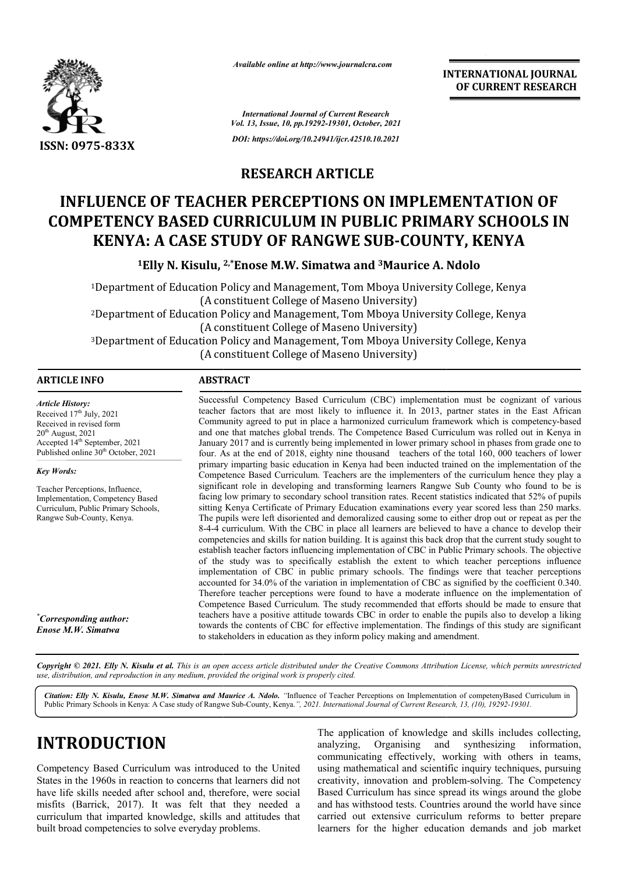

*Available online at http://www.journalcra.com*

**INTERNATIONAL JOURNAL OF CURRENT RESEARCH**

*International Journal of Current Research Vol. 13, Issue, 10, pp.19292-19301, October, 2021 DOI: https://doi.org/10.24941/ijcr.42510.10.2021*

### **RESEARCH ARTICLE**

# **INFLUENCE OF TEACHER PERCEPTIONS ON IMPLEMENTATION OF COMPETENCY BASED CURRICULUM IN PUBLIC PRIMARY SCHOOLS IN KENYA: A CASE STUDY OF RANGWE SUB SUB-COUNTY, KENYA IN PUBLIC PRIMARY SCHOOLS<br>IGWE SUB-COUNTY, KENYA<br>natwa and <sup>3</sup>Maurice A. Ndolo**

**1Elly N. Kisulu, 2,\*Enose M.W. Simatwa and 3Maurice A. Ndolo**

1Department of Education Policy and Management, Tom Mboya University College, Kenya (A constituent College of Maseno University) 2Department of Education Policy and Management, Tom Mboya University College, Kenya (A constituent College of Maseno Univer <sup>1</sup>Department of Education Policy and Management, Tom Mboya University College, Kenya<br>(A constituent College of Maseno University)<br><sup>2</sup>Department of Education Policy and Management, Tom Mboya University College, Kenya<br><sup>3</sup>De (A constituent College of Maseno University) Department of Education Policy and Management, Tom Mboya Uni<br>(A constituent College of Maseno University)<br>Department of Education Policy and Management, Tom Mboya Uni<br>(A constituent College of Maseno University)

### **ARTICLE INFO ABSTRACT** Successful Competency Based Curriculum (CBC) implementation must be cognizant of various  $Article History:$

Received  $17<sup>th</sup>$  July, 2021 Received in revised form Received in revised form Received  $20<sup>th</sup>$  August,  $2021$ Accepted 14<sup>th</sup> September, 2021 Published online 30<sup>th</sup> October, 2021 - ------- 1

*Key Words:*

Teacher Perceptions, Influence, Implementation, Competency Based Curriculum, Public Primary Schools, Rangwe Sub-County, Kenya.

*\* Corresponding author: Enose M.W. Simatwa*

teacher factors that are most likely to influence it. In 2013, partner states in the East African Community agreed to put in place a harmonized curriculum framework which is competency-based and one that matches global trends. The Competence Based Curriculum was rolled out in Kenya in January 2017 and is currently being implemented in lower primary school in phases from grade one to four. As at the end of 2018, eighty nine thousand teachers of the total 160, 000 teachers of lower primary imparting basic education in Kenya had been inducted trained on the implementation of the Competence Based Curriculum. Teachers are the implementers of the curriculum hence they play a significant role in developing and transforming learners Rangwe Sub County who found to be is facing low primary to secondary school transition rates. Recent statistics indicated that 52% of pupils sitting Kenya Certificate of Primary Education examinations every year scored less than 250 marks. The pupils were left disoriented and demoralized causing some to either drop out or repeat as per the 8-4-4 curriculum. With the CBC in place all learners are believed to have a chance to develop their 4 competencies and skills for nation building. It is against this back drop that the current study sought to establish teacher factors influencing implementation of CBC in Public Primary schools. The objective of the study was to specifically establish the extent to which teacher perceptions influence implementation of CBC in public primary schools. The findings were that teacher perceptions accounted for 34.0% of the variation in implementation of CBC as signified by the coefficient 0.340. Therefore teacher perceptions were found to have a moderate influence on the implementation of Competence Based Curriculum. The study recommended that efforts should be made to ensure that teachers have a positive attitude towards CBC in order to enable the pupils also to develop a lik towards the contents of CBC for effective implementation. The findings of this study are significant towards the contents of CBC for effective implementation. The findings o<br>to stakeholders in education as they inform policy making and amendment. Successful Competency Based Curriculum (CBC) implementation must be cognizant of various teacher factors that are most likely to influence it. In 2013, partner states in the East African Community agreed to put in place a and one that matches global trends. The Competence Based Curriculum was rolled out in Kenya in January 2017 and is currently being implemented in lower primary school in phases from grade one to four. As at the end of 2018 implementation of CBC in public primary schools. The findings were that teacher perceptions accounted for 34.0% of the variation in implementation of CBC as signified by the coefficient 0.340. Therefore teacher perceptions INTERNATIONAL JOURNAL OF CURRENT RESEARCH<br>
OF CURRENT RESEARCH<br>
OF CURRENT RESEARCH<br>
OF CURRENT RESEARCH<br>
COMENTY, KENYA<br>
icce A. Ndolo<br>
iversity College, Kenya<br>
lexercity College, Kenya<br>
lexercity College, Kenya<br>
lexerci

Copyright © 2021. Elly N. Kisulu et al. This is an open access article distributed under the Creative Commons Attribution License, which permits unrestricted *use, distribution, and reproduction in any medium, provided the original work is properly cited.*

Citation: Elly N. Kisulu, Enose M.W. Simatwa and Maurice A. Ndolo. "Influence of Teacher Perceptions on Implementation of competenyBased Curriculum in Public Primary Schools in Kenya: A Case study of Rangwe Sub-County, Kenya.", 2021. International Journal of Current Research, 13, (10), 19292-19301.

# **INTRODUCTION**

Competency Based Curriculum was introduced to the United States in the 1960s in reaction to concerns that learners did not have life skills needed after school and, therefore, were social misfits (Barrick, 2017). It was felt that they needed a curriculum that imparted knowledge, skills and attitudes that built broad competencies to solve everyday problems.

**DUCTION**<br>
The application of knowledge and skills includes collecting,<br>
analyzing, Organising and synthesizing information,<br>
communicating effectively, working with others in teams,<br>
1960s in reaction to concerns that lea analyzing, Organising and synthesizing information, communicating effectively, working with others in teams, using mathematical and scientific inquiry techniques, pursuing using mathematical and scientific inquiry techniques, pursuing<br>creativity, innovation and problem-solving. The Competency Based Curriculum has since spread its wings around the globe Based Curriculum has since spread its wings around the globe and has withstood tests. Countries around the world have since carried out extensive curriculum reforms to better prepare learners for the higher education demands and job market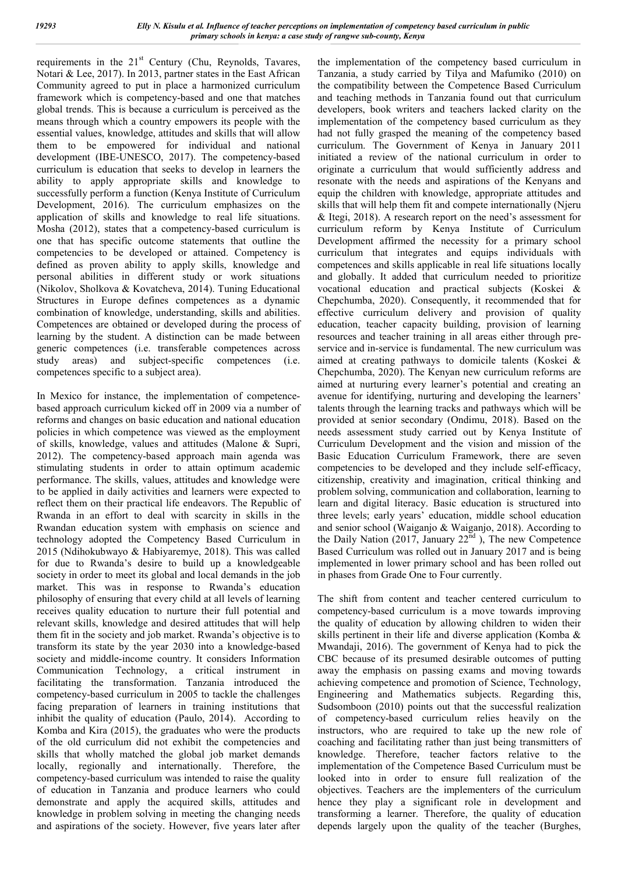requirements in the  $21<sup>st</sup>$  Century (Chu, Reynolds, Tavares, Notari & Lee, 2017). In 2013, partner states in the East African Community agreed to put in place a harmonized curriculum framework which is competency-based and one that matches global trends. This is because a curriculum is perceived as the means through which a country empowers its people with the essential values, knowledge, attitudes and skills that will allow them to be empowered for individual and national development (IBE-UNESCO, 2017). The competency-based curriculum is education that seeks to develop in learners the ability to apply appropriate skills and knowledge to successfully perform a function (Kenya Institute of Curriculum Development, 2016). The curriculum emphasizes on the application of skills and knowledge to real life situations. Mosha (2012), states that a competency-based curriculum is one that has specific outcome statements that outline the competencies to be developed or attained. Competency is defined as proven ability to apply skills, knowledge and personal abilities in different study or work situations (Nikolov, Sholkova & Kovatcheva, 2014). Tuning Educational Structures in Europe defines competences as a dynamic combination of knowledge, understanding, skills and abilities. Competences are obtained or developed during the process of learning by the student. A distinction can be made between generic competences (i.e. transferable competences across study areas) and subject-specific competences (i.e. competences specific to a subject area).

In Mexico for instance, the implementation of competencebased approach curriculum kicked off in 2009 via a number of reforms and changes on basic education and national education policies in which competence was viewed as the employment of skills, knowledge, values and attitudes (Malone & Supri, 2012). The competency-based approach main agenda was stimulating students in order to attain optimum academic performance. The skills, values, attitudes and knowledge were to be applied in daily activities and learners were expected to reflect them on their practical life endeavors. The Republic of Rwanda in an effort to deal with scarcity in skills in the Rwandan education system with emphasis on science and technology adopted the Competency Based Curriculum in 2015 (Ndihokubwayo & Habiyaremye, 2018). This was called for due to Rwanda's desire to build up a knowledgeable society in order to meet its global and local demands in the job market. This was in response to Rwanda's education philosophy of ensuring that every child at all levels of learning receives quality education to nurture their full potential and relevant skills, knowledge and desired attitudes that will help them fit in the society and job market. Rwanda's objective is to transform its state by the year 2030 into a knowledge-based society and middle-income country. It considers Information Communication Technology, a critical instrument in facilitating the transformation. Tanzania introduced the competency-based curriculum in 2005 to tackle the challenges facing preparation of learners in training institutions that inhibit the quality of education (Paulo, 2014). According to Komba and Kira (2015), the graduates who were the products of the old curriculum did not exhibit the competencies and skills that wholly matched the global job market demands locally, regionally and internationally. Therefore, the competency-based curriculum was intended to raise the quality of education in Tanzania and produce learners who could demonstrate and apply the acquired skills, attitudes and knowledge in problem solving in meeting the changing needs and aspirations of the society. However, five years later after

the implementation of the competency based curriculum in Tanzania, a study carried by Tilya and Mafumiko (2010) on the compatibility between the Competence Based Curriculum and teaching methods in Tanzania found out that curriculum developers, book writers and teachers lacked clarity on the implementation of the competency based curriculum as they had not fully grasped the meaning of the competency based curriculum. The Government of Kenya in January 2011 initiated a review of the national curriculum in order to originate a curriculum that would sufficiently address and resonate with the needs and aspirations of the Kenyans and equip the children with knowledge, appropriate attitudes and skills that will help them fit and compete internationally (Njeru & Itegi, 2018). A research report on the need's assessment for curriculum reform by Kenya Institute of Curriculum Development affirmed the necessity for a primary school curriculum that integrates and equips individuals with competences and skills applicable in real life situations locally and globally. It added that curriculum needed to prioritize vocational education and practical subjects (Koskei & Chepchumba, 2020). Consequently, it recommended that for effective curriculum delivery and provision of quality education, teacher capacity building, provision of learning resources and teacher training in all areas either through preservice and in-service is fundamental. The new curriculum was aimed at creating pathways to domicile talents (Koskei & Chepchumba, 2020). The Kenyan new curriculum reforms are aimed at nurturing every learner's potential and creating an avenue for identifying, nurturing and developing the learners' talents through the learning tracks and pathways which will be provided at senior secondary (Ondimu, 2018). Based on the needs assessment study carried out by Kenya Institute of Curriculum Development and the vision and mission of the Basic Education Curriculum Framework, there are seven competencies to be developed and they include self-efficacy, citizenship, creativity and imagination, critical thinking and problem solving, communication and collaboration, learning to learn and digital literacy. Basic education is structured into three levels; early years' education, middle school education and senior school (Waiganjo & Waiganjo, 2018). According to the Daily Nation  $(2017, January 22<sup>nd</sup>)$ , The new Competence Based Curriculum was rolled out in January 2017 and is being implemented in lower primary school and has been rolled out in phases from Grade One to Four currently.

The shift from content and teacher centered curriculum to competency-based curriculum is a move towards improving the quality of education by allowing children to widen their skills pertinent in their life and diverse application (Komba & Mwandaji, 2016). The government of Kenya had to pick the CBC because of its presumed desirable outcomes of putting away the emphasis on passing exams and moving towards achieving competence and promotion of Science, Technology, Engineering and Mathematics subjects. Regarding this, Sudsomboon (2010) points out that the successful realization of competency-based curriculum relies heavily on the instructors, who are required to take up the new role of coaching and facilitating rather than just being transmitters of knowledge. Therefore, teacher factors relative to the implementation of the Competence Based Curriculum must be looked into in order to ensure full realization of the objectives. Teachers are the implementers of the curriculum hence they play a significant role in development and transforming a learner. Therefore, the quality of education depends largely upon the quality of the teacher (Burghes,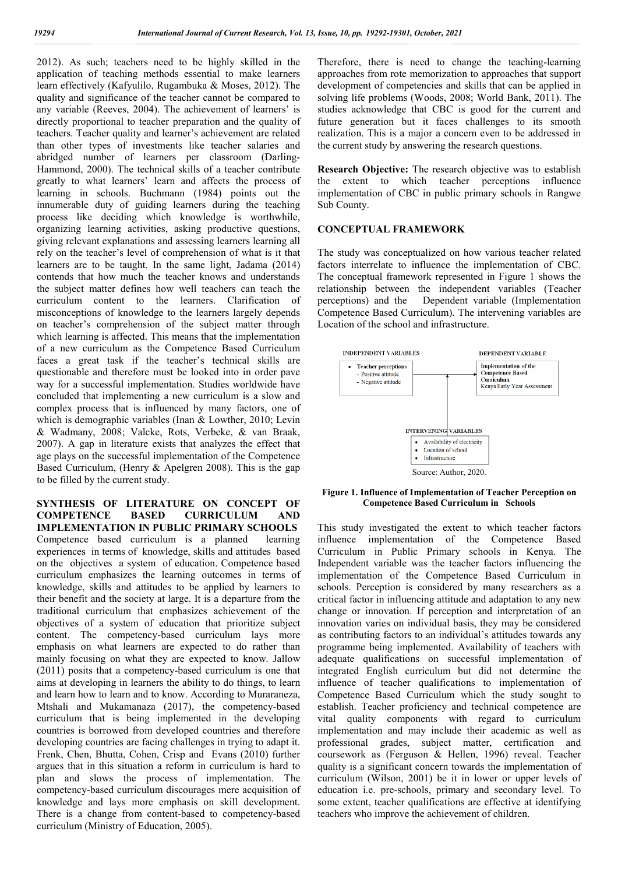2012). As such; teachers need to be highly skilled in the application of teaching methods essential to make learners learn effectively (Kafyulilo, Rugambuka & Moses, 2012). The quality and significance of the teacher cannot be compared to any variable (Reeves, 2004). The achievement of learners' is directly proportional to teacher preparation and the quality of teachers. Teacher quality and learner's achievement are related than other types of investments like teacher salaries and abridged number of learners per classroom (Darling-Hammond, 2000). The technical skills of a teacher contribute greatly to what learners' learn and affects the process of learning in schools. Buchmann (1984) points out the innumerable duty of guiding learners during the teaching process like deciding which knowledge is worthwhile, organizing learning activities, asking productive questions, giving relevant explanations and assessing learners learning all rely on the teacher's level of comprehension of what is it that learners are to be taught. In the same light, Jadama (2014) contends that how much the teacher knows and understands the subject matter defines how well teachers can teach the curriculum content to the learners. Clarification of misconceptions of knowledge to the learners largely depends on teacher's comprehension of the subject matter through which learning is affected. This means that the implementation of a new curriculum as the Competence Based Curriculum faces a great task if the teacher's technical skills are questionable and therefore must be looked into in order pave way for a successful implementation. Studies worldwide have concluded that implementing a new curriculum is a slow and complex process that is influenced by many factors, one of which is demographic variables (Inan & Lowther, 2010; Levin & Wadmany, 2008; Valcke, Rots, Verbeke, & van Braak, 2007). A gap in literature exists that analyzes the effect that age plays on the successful implementation of the Competence Based Curriculum, (Henry & Apelgren 2008). This is the gap to be filled by the current study.

### **SYNTHESIS OF LITERATURE ON CONCEPT OF COMPETENCE BASED CURRICULUM AND IMPLEMENTATION IN PUBLIC PRIMARY SCHOOLS**  Competence based curriculum is a planned learning experiences in terms of knowledge, skills and attitudes based

on the objectives a system of education. Competence based curriculum emphasizes the learning outcomes in terms of knowledge, skills and attitudes to be applied by learners to their benefit and the society at large. It is a departure from the traditional curriculum that emphasizes achievement of the objectives of a system of education that prioritize subject content. The competency-based curriculum lays more emphasis on what learners are expected to do rather than mainly focusing on what they are expected to know. Jallow (2011) posits that a competency-based curriculum is one that aims at developing in learners the ability to do things, to learn and learn how to learn and to know. According to Muraraneza, Mtshali and Mukamanaza (2017), the competency-based curriculum that is being implemented in the developing countries is borrowed from developed countries and therefore developing countries are facing challenges in trying to adapt it. Frenk, Chen, Bhutta, Cohen, Crisp and Evans (2010) further argues that in this situation a reform in curriculum is hard to plan and slows the process of implementation. The competency-based curriculum discourages mere acquisition of knowledge and lays more emphasis on skill development. There is a change from content-based to competency-based curriculum (Ministry of Education, 2005).

Therefore, there is need to change the teaching-learning approaches from rote memorization to approaches that support development of competencies and skills that can be applied in solving life problems (Woods, 2008; World Bank, 2011). The studies acknowledge that CBC is good for the current and future generation but it faces challenges to its smooth realization. This is a major a concern even to be addressed in the current study by answering the research questions.

**Research Objective:** The research objective was to establish the extent to which teacher perceptions influence implementation of CBC in public primary schools in Rangwe Sub County.

#### **CONCEPTUAL FRAMEWORK**

The study was conceptualized on how various teacher related factors interrelate to influence the implementation of CBC. The conceptual framework represented in Figure 1 shows the relationship between the independent variables (Teacher perceptions) and the Dependent variable (Implementation Competence Based Curriculum). The intervening variables are Location of the school and infrastructure.



**Figure 1. Influence of Implementation of Teacher Perception on Competence Based Curriculum in Schools**

This study investigated the extent to which teacher factors influence implementation of the Competence Based Curriculum in Public Primary schools in Kenya. The Independent variable was the teacher factors influencing the implementation of the Competence Based Curriculum in schools. Perception is considered by many researchers as a critical factor in influencing attitude and adaptation to any new change or innovation. If perception and interpretation of an innovation varies on individual basis, they may be considered as contributing factors to an individual's attitudes towards any programme being implemented. Availability of teachers with adequate qualifications on successful implementation of integrated English curriculum but did not determine the influence of teacher qualifications to implementation of Competence Based Curriculum which the study sought to establish. Teacher proficiency and technical competence are vital quality components with regard to curriculum implementation and may include their academic as well as professional grades, subject matter, certification and coursework as (Ferguson & Hellen, 1996) reveal. Teacher quality is a significant concern towards the implementation of curriculum (Wilson, 2001) be it in lower or upper levels of education i.e. pre-schools, primary and secondary level. To some extent, teacher qualifications are effective at identifying teachers who improve the achievement of children.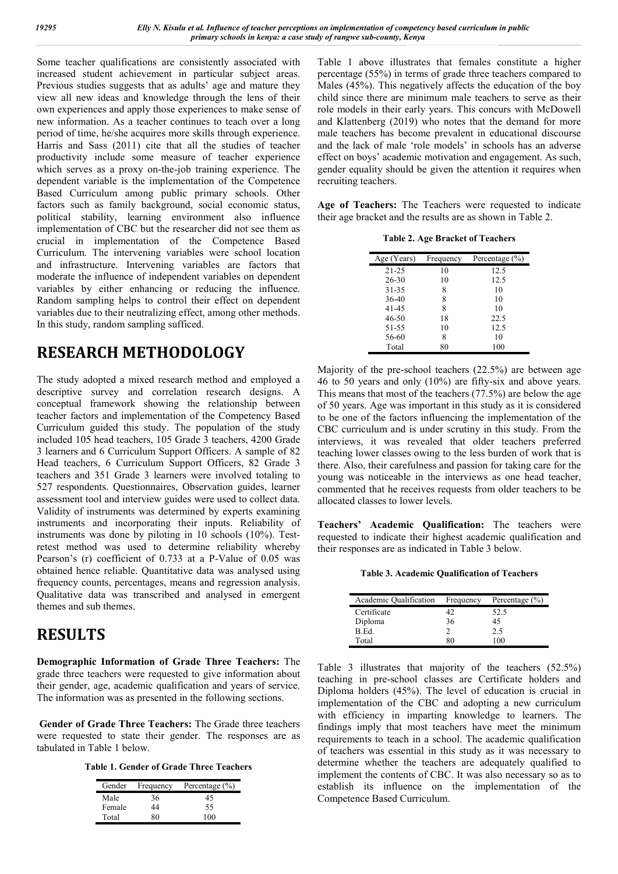Some teacher qualifications are consistently associated with increased student achievement in particular subject areas. Previous studies suggests that as adults' age and mature they view all new ideas and knowledge through the lens of their own experiences and apply those experiences to make sense of new information. As a teacher continues to teach over a long period of time, he/she acquires more skills through experience. Harris and Sass (2011) cite that all the studies of teacher productivity include some measure of teacher experience which serves as a proxy on-the-job training experience. The dependent variable is the implementation of the Competence Based Curriculum among public primary schools. Other factors such as family background, social economic status, political stability, learning environment also influence implementation of CBC but the researcher did not see them as crucial in implementation of the Competence Based Curriculum. The intervening variables were school location and infrastructure. Intervening variables are factors that moderate the influence of independent variables on dependent variables by either enhancing or reducing the influence. Random sampling helps to control their effect on dependent variables due to their neutralizing effect, among other methods. In this study, random sampling sufficed.

## **RESEARCH METHODOLOGY**

The study adopted a mixed research method and employed a descriptive survey and correlation research designs. A conceptual framework showing the relationship between teacher factors and implementation of the Competency Based Curriculum guided this study. The population of the study included 105 head teachers, 105 Grade 3 teachers, 4200 Grade 3 learners and 6 Curriculum Support Officers. A sample of 82 Head teachers, 6 Curriculum Support Officers, 82 Grade 3 teachers and 351 Grade 3 learners were involved totaling to 527 respondents. Questionnaires, Observation guides, learner assessment tool and interview guides were used to collect data. Validity of instruments was determined by experts examining instruments and incorporating their inputs. Reliability of instruments was done by piloting in 10 schools (10%). Testretest method was used to determine reliability whereby Pearson's (r) coefficient of 0.733 at a P-Value of 0.05 was obtained hence reliable. Quantitative data was analysed using frequency counts, percentages, means and regression analysis. Qualitative data was transcribed and analysed in emergent themes and sub themes.

# **RESULTS**

**Demographic Information of Grade Three Teachers:** The grade three teachers were requested to give information about their gender, age, academic qualification and years of service. The information was as presented in the following sections.

**Gender of Grade Three Teachers:** The Grade three teachers were requested to state their gender. The responses are as tabulated in Table 1 below.

**Table 1. Gender of Grade Three Teachers**

| Gender | Frequency | Percentage $(\% )$ |
|--------|-----------|--------------------|
| Male   | 36        | 45                 |
| Female | 44        | 55                 |
| Total  | R۸        | 100                |

Table 1 above illustrates that females constitute a higher percentage (55%) in terms of grade three teachers compared to Males (45%). This negatively affects the education of the boy child since there are minimum male teachers to serve as their role models in their early years. This concurs with McDowell and Klattenberg (2019) who notes that the demand for more male teachers has become prevalent in educational discourse and the lack of male 'role models' in schools has an adverse effect on boys' academic motivation and engagement. As such, gender equality should be given the attention it requires when recruiting teachers.

**Age of Teachers:** The Teachers were requested to indicate their age bracket and the results are as shown in Table 2.

**Table 2. Age Bracket of Teachers**

| Age (Years) | Frequency | Percentage (%) |
|-------------|-----------|----------------|
| $21 - 25$   | 10        | 12.5           |
| $26 - 30$   | 10        | 12.5           |
| 31-35       | 8         | 10             |
| 36-40       | 8         | 10             |
| 41-45       | 8         | 10             |
| 46-50       | 18        | 22.5           |
| 51-55       | 10        | 12.5           |
| 56-60       | 8         | 10             |
| Total       | 80        | 100            |

Majority of the pre-school teachers (22.5%) are between age 46 to 50 years and only (10%) are fifty-six and above years. This means that most of the teachers (77.5%) are below the age of 50 years. Age was important in this study as it is considered to be one of the factors influencing the implementation of the CBC curriculum and is under scrutiny in this study. From the interviews, it was revealed that older teachers preferred teaching lower classes owing to the less burden of work that is there. Also, their carefulness and passion for taking care for the young was noticeable in the interviews as one head teacher, commented that he receives requests from older teachers to be allocated classes to lower levels.

**Teachers' Academic Qualification:** The teachers were requested to indicate their highest academic qualification and their responses are as indicated in Table 3 below.

**Table 3. Academic Qualification of Teachers**

| Academic Qualification | Frequency | Percentage $(\% )$ |
|------------------------|-----------|--------------------|
| Certificate            | 42        | 52.5               |
| Diploma                | 36        | 45                 |
| B.Ed.                  |           | 2.5                |
| Total                  | ۷О.       | 100                |

Table 3 illustrates that majority of the teachers (52.5%) teaching in pre-school classes are Certificate holders and Diploma holders (45%). The level of education is crucial in implementation of the CBC and adopting a new curriculum with efficiency in imparting knowledge to learners. The findings imply that most teachers have meet the minimum requirements to teach in a school. The academic qualification of teachers was essential in this study as it was necessary to determine whether the teachers are adequately qualified to implement the contents of CBC. It was also necessary so as to establish its influence on the implementation of the Competence Based Curriculum.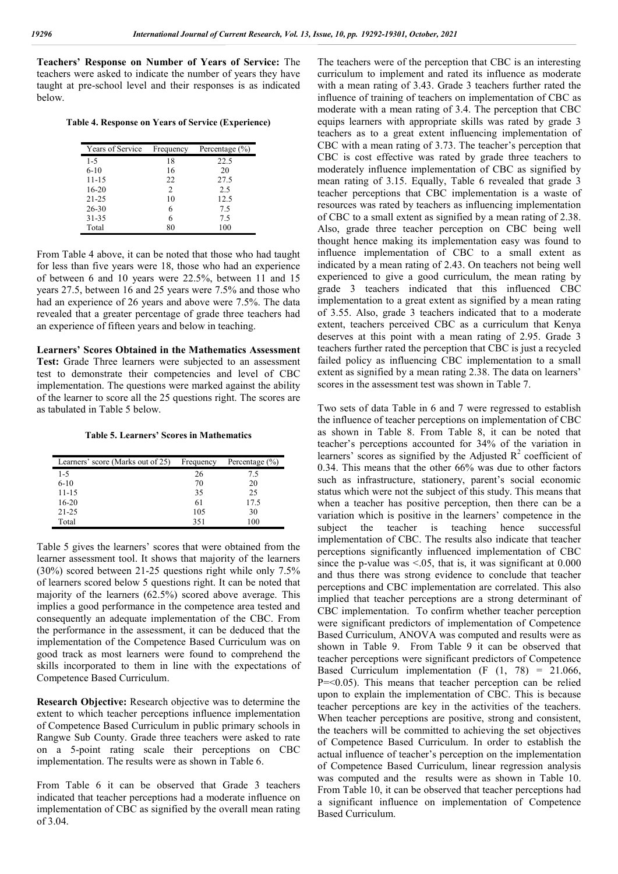**Teachers' Response on Number of Years of Service:** The teachers were asked to indicate the number of years they have taught at pre-school level and their responses is as indicated below.

**Table 4. Response on Years of Service (Experience)**

| Years of Service | Frequency | Percentage $(\% )$ |
|------------------|-----------|--------------------|
| $1 - 5$          | 18        | 22.5               |
| $6-10$           | 16        | 20                 |
| $11 - 15$        | 22        | 27.5               |
| $16 - 20$        | 2         | 2.5                |
| $21 - 25$        | 10        | 12.5               |
| 26-30            | 6         | 7.5                |
| 31-35            |           | 7.5                |
| Total            | 80        | 100                |

From Table 4 above, it can be noted that those who had taught for less than five years were 18, those who had an experience of between 6 and 10 years were 22.5%, between 11 and 15 years 27.5, between 16 and 25 years were 7.5% and those who had an experience of 26 years and above were 7.5%. The data revealed that a greater percentage of grade three teachers had an experience of fifteen years and below in teaching.

**Learners' Scores Obtained in the Mathematics Assessment Test:** Grade Three learners were subjected to an assessment test to demonstrate their competencies and level of CBC implementation. The questions were marked against the ability of the learner to score all the 25 questions right. The scores are as tabulated in Table 5 below.

**Table 5. Learners' Scores in Mathematics**

| Learners' score (Marks out of 25) | Frequency | Percentage $(\% )$ |
|-----------------------------------|-----------|--------------------|
| $1 - 5$                           | 26        | 7.5                |
| $6 - 10$                          | 70        | 20                 |
| 11-15                             | 35        | 25                 |
| $16-20$                           | 61        | 17.5               |
| $21 - 25$                         | 105       | 30                 |
| Total                             | 351       | 100                |

Table 5 gives the learners' scores that were obtained from the learner assessment tool. It shows that majority of the learners (30%) scored between 21-25 questions right while only 7.5% of learners scored below 5 questions right. It can be noted that majority of the learners (62.5%) scored above average. This implies a good performance in the competence area tested and consequently an adequate implementation of the CBC. From the performance in the assessment, it can be deduced that the implementation of the Competence Based Curriculum was on good track as most learners were found to comprehend the skills incorporated to them in line with the expectations of Competence Based Curriculum.

**Research Objective:** Research objective was to determine the extent to which teacher perceptions influence implementation of Competence Based Curriculum in public primary schools in Rangwe Sub County. Grade three teachers were asked to rate on a 5-point rating scale their perceptions on CBC implementation. The results were as shown in Table 6.

From Table 6 it can be observed that Grade 3 teachers indicated that teacher perceptions had a moderate influence on implementation of CBC as signified by the overall mean rating of 3.04.

The teachers were of the perception that CBC is an interesting curriculum to implement and rated its influence as moderate with a mean rating of 3.43. Grade 3 teachers further rated the influence of training of teachers on implementation of CBC as moderate with a mean rating of 3.4. The perception that CBC equips learners with appropriate skills was rated by grade 3 teachers as to a great extent influencing implementation of CBC with a mean rating of 3.73. The teacher's perception that CBC is cost effective was rated by grade three teachers to moderately influence implementation of CBC as signified by mean rating of 3.15. Equally, Table 6 revealed that grade 3 teacher perceptions that CBC implementation is a waste of resources was rated by teachers as influencing implementation of CBC to a small extent as signified by a mean rating of 2.38. Also, grade three teacher perception on CBC being well thought hence making its implementation easy was found to influence implementation of CBC to a small extent as indicated by a mean rating of 2.43. On teachers not being well experienced to give a good curriculum, the mean rating by grade 3 teachers indicated that this influenced CBC implementation to a great extent as signified by a mean rating of 3.55. Also, grade 3 teachers indicated that to a moderate extent, teachers perceived CBC as a curriculum that Kenya deserves at this point with a mean rating of 2.95. Grade 3 teachers further rated the perception that CBC is just a recycled failed policy as influencing CBC implementation to a small extent as signified by a mean rating 2.38. The data on learners' scores in the assessment test was shown in Table 7.

Two sets of data Table in 6 and 7 were regressed to establish the influence of teacher perceptions on implementation of CBC as shown in Table 8. From Table 8, it can be noted that teacher's perceptions accounted for 34% of the variation in learners' scores as signified by the Adjusted  $R^2$  coefficient of 0.34. This means that the other 66% was due to other factors such as infrastructure, stationery, parent's social economic status which were not the subject of this study. This means that when a teacher has positive perception, then there can be a variation which is positive in the learners' competence in the subject the teacher is teaching hence successful implementation of CBC. The results also indicate that teacher perceptions significantly influenced implementation of CBC since the p-value was  $\leq 0.05$ , that is, it was significant at  $0.000$ and thus there was strong evidence to conclude that teacher perceptions and CBC implementation are correlated. This also implied that teacher perceptions are a strong determinant of CBC implementation. To confirm whether teacher perception were significant predictors of implementation of Competence Based Curriculum, ANOVA was computed and results were as shown in Table 9. From Table 9 it can be observed that teacher perceptions were significant predictors of Competence Based Curriculum implementation  $(F (1, 78) = 21.066,$ P=<0.05). This means that teacher perception can be relied upon to explain the implementation of CBC. This is because teacher perceptions are key in the activities of the teachers. When teacher perceptions are positive, strong and consistent, the teachers will be committed to achieving the set objectives of Competence Based Curriculum. In order to establish the actual influence of teacher's perception on the implementation of Competence Based Curriculum, linear regression analysis was computed and the results were as shown in Table 10. From Table 10, it can be observed that teacher perceptions had a significant influence on implementation of Competence Based Curriculum.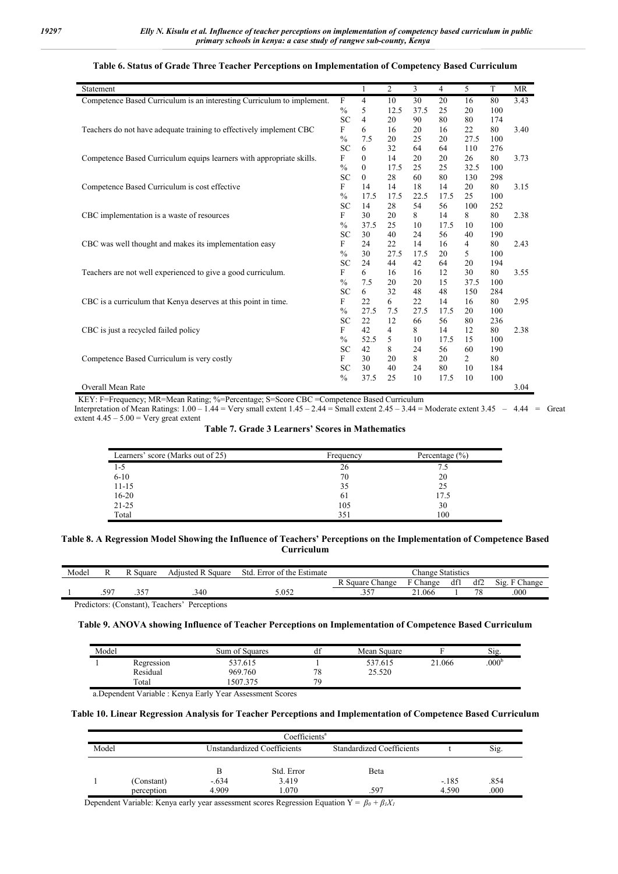| Statement                                                              |               |                | $\overline{2}$ | 3    | $\overline{4}$ | 5              | T   | <b>MR</b> |
|------------------------------------------------------------------------|---------------|----------------|----------------|------|----------------|----------------|-----|-----------|
| Competence Based Curriculum is an interesting Curriculum to implement. | $\mathbf F$   | 4              | 10             | 30   | 20             | 16             | 80  | 3.43      |
|                                                                        | $\frac{0}{0}$ | 5              | 12.5           | 37.5 | 25             | 20             | 100 |           |
|                                                                        | <b>SC</b>     | $\overline{4}$ | 20             | 90   | 80             | 80             | 174 |           |
| Teachers do not have adequate training to effectively implement CBC    | F             | 6              | 16             | 20   | 16             | 22             | 80  | 3.40      |
|                                                                        | $\frac{0}{0}$ | 7.5            | 20             | 25   | 20             | 27.5           | 100 |           |
|                                                                        | <b>SC</b>     | 6              | 32             | 64   | 64             | 110            | 276 |           |
| Competence Based Curriculum equips learners with appropriate skills.   | F             | $\theta$       | 14             | 20   | 20             | 26             | 80  | 3.73      |
|                                                                        | $\frac{0}{0}$ | $\Omega$       | 17.5           | 25   | 25             | 32.5           | 100 |           |
|                                                                        | <b>SC</b>     | $\Omega$       | 28             | 60   | 80             | 130            | 298 |           |
| Competence Based Curriculum is cost effective                          | F             | 14             | 14             | 18   | 14             | 20             | 80  | 3.15      |
|                                                                        | $\frac{0}{0}$ | 17.5           | 17.5           | 22.5 | 17.5           | 25             | 100 |           |
|                                                                        | <b>SC</b>     | 14             | 28             | 54   | 56             | 100            | 252 |           |
| CBC implementation is a waste of resources                             | F             | 30             | 20             | 8    | 14             | 8              | 80  | 2.38      |
|                                                                        | $\frac{0}{0}$ | 37.5           | 25             | 10   | 17.5           | 10             | 100 |           |
|                                                                        | <b>SC</b>     | 30             | 40             | 24   | 56             | 40             | 190 |           |
| CBC was well thought and makes its implementation easy                 | F             | 24             | 22             | 14   | 16             | $\overline{4}$ | 80  | 2.43      |
|                                                                        | $\frac{0}{0}$ | 30             | 27.5           | 17.5 | 20             | 5              | 100 |           |
|                                                                        | <b>SC</b>     | 24             | 44             | 42   | 64             | 20             | 194 |           |
| Teachers are not well experienced to give a good curriculum.           | F             | 6              | 16             | 16   | 12             | 30             | 80  | 3.55      |
|                                                                        | $\frac{0}{0}$ | 7.5            | 20             | 20   | 15             | 37.5           | 100 |           |
|                                                                        | <b>SC</b>     | 6              | 32             | 48   | 48             | 150            | 284 |           |
| CBC is a curriculum that Kenya deserves at this point in time.         | $\mathbf{F}$  | 22             | 6              | 22   | 14             | 16             | 80  | 2.95      |
|                                                                        | $\frac{0}{0}$ | 27.5           | 7.5            | 27.5 | 17.5           | 20             | 100 |           |
|                                                                        | SC            | 22             | 12             | 66   | 56             | 80             | 236 |           |
| CBC is just a recycled failed policy                                   | F             | 42             | 4              | 8    | 14             | 12             | 80  | 2.38      |
|                                                                        | $\frac{0}{0}$ | 52.5           | 5              | 10   | 17.5           | 15             | 100 |           |
|                                                                        | SC            | 42             | 8              | 24   | 56             | 60             | 190 |           |
| Competence Based Curriculum is very costly                             | F             | 30             | 20             | 8    | 20             | $\overline{2}$ | 80  |           |
|                                                                        | <b>SC</b>     | 30             | 40             | 24   | 80             | 10             | 184 |           |
|                                                                        | $\frac{0}{0}$ | 37.5           | 25             | 10   | 17.5           | 10             | 100 |           |
| Overall Mean Rate                                                      |               |                |                |      |                |                |     | 3.04      |

#### **Table 6. Status of Grade Three Teacher Perceptions on Implementation of Competency Based Curriculum**

KEY: F=Frequency; MR=Mean Rating; %=Percentage; S=Score CBC =Competence Based Curriculum

Interpretation of Mean Ratings:  $1.00 - 1.44$  = Very small extent  $1.45 - 2.44$  = Small extent  $2.45 - 3.44$  = Moderate extent  $3.45 - 4.44$  = Great extent  $4.45 - 5.00 = \text{Very}$  great extent

| Table 7. Grade 3 Learners' Scores in Mathematics |  |
|--------------------------------------------------|--|
|--------------------------------------------------|--|

| Learners' score (Marks out of 25) | Frequency | Percentage $(\% )$ |
|-----------------------------------|-----------|--------------------|
| $1 - 5$                           | 26        | 7.5                |
| $6 - 10$                          | 70        | 20                 |
| $11 - 15$                         | 35        | 25                 |
| $16 - 20$                         | 61        | 17.5               |
| $21 - 25$                         | 105       | 30                 |
| Total                             | 351       | 100                |

### **Table 8. A Regression Model Showing the Influence of Teachers' Perceptions on the Implementation of Competence Based Curriculum**

| Model |           | -<br>square<br>к | $\sim$ $\sim$<br>Square<br>Adıusted<br>к | $\sim$ $\cdot$<br>Std<br>Estimate<br>Error of the | $\sim$<br>Statistics<br>Change |                       |     |     |                    |
|-------|-----------|------------------|------------------------------------------|---------------------------------------------------|--------------------------------|-----------------------|-----|-----|--------------------|
|       |           |                  |                                          |                                                   | Square<br>Change               | ~<br>Change           | dfl | df2 | F Change<br>S12. I |
|       | $.59^{-}$ | າເາ<br>. J J     | .340                                     | 5.052                                             | 2.57<br>$\cdot$                | 21.066<br>$^{\sim}$ 1 |     | 78  | .000               |
| $ -$  |           | $\sim$           | $\sim$ $\sim$                            |                                                   |                                |                       |     |     |                    |

Predictors: (Constant), Teachers' Perceptions

#### **Table 9. ANOVA showing Influence of Teacher Perceptions on Implementation of Competence Based Curriculum**

| Model |            | Sum of Squares | d1 | Mean Square |        | Sig.              |
|-------|------------|----------------|----|-------------|--------|-------------------|
|       | Regression | 537.615        |    | 537.615     | 21.066 | .000 <sup>b</sup> |
|       | Residual   | 969.760        | 78 | 25.520      |        |                   |
|       | Total      | .507.375       | 70 |             |        |                   |

a.Dependent Variable : Kenya Early Year Assessment Scores

### **Table 10. Linear Regression Analysis for Teacher Perceptions and Implementation of Competence Based Curriculum**

| Coefficients <sup>a</sup>                                         |                          |                       |                              |              |                  |              |  |  |
|-------------------------------------------------------------------|--------------------------|-----------------------|------------------------------|--------------|------------------|--------------|--|--|
| Model<br>Unstandardized Coefficients<br>Standardized Coefficients |                          |                       |                              |              |                  |              |  |  |
|                                                                   | (Constant)<br>perception | в<br>$-.634$<br>4.909 | Std. Error<br>3.419<br>1.070 | Beta<br>.597 | $-.185$<br>4.590 | .854<br>.000 |  |  |

Dependent Variable: Kenya early year assessment scores Regression Equation  $Y = \beta_0 + \beta_1 X_1$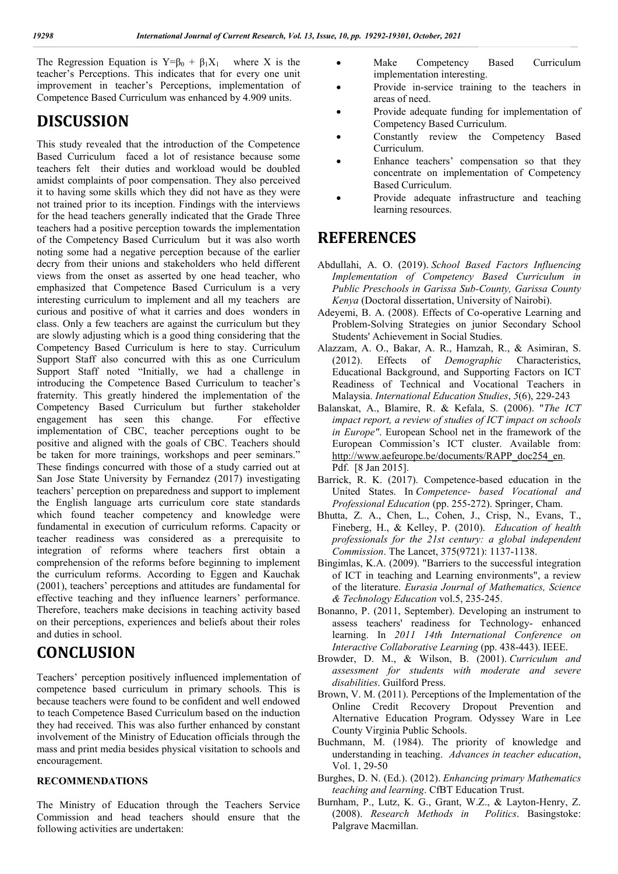The Regression Equation is  $Y = \beta_0 + \beta_1 X_1$  where X is the teacher's Perceptions. This indicates that for every one unit improvement in teacher's Perceptions, implementation of Competence Based Curriculum was enhanced by 4.909 units.

## **DISCUSSION**

This study revealed that the introduction of the Competence Based Curriculum faced a lot of resistance because some teachers felt their duties and workload would be doubled amidst complaints of poor compensation. They also perceived it to having some skills which they did not have as they were not trained prior to its inception. Findings with the interviews for the head teachers generally indicated that the Grade Three teachers had a positive perception towards the implementation of the Competency Based Curriculum but it was also worth noting some had a negative perception because of the earlier decry from their unions and stakeholders who held different views from the onset as asserted by one head teacher, who emphasized that Competence Based Curriculum is a very interesting curriculum to implement and all my teachers are curious and positive of what it carries and does wonders in class. Only a few teachers are against the curriculum but they are slowly adjusting which is a good thing considering that the Competency Based Curriculum is here to stay. Curriculum Support Staff also concurred with this as one Curriculum Support Staff noted "Initially, we had a challenge in introducing the Competence Based Curriculum to teacher's fraternity. This greatly hindered the implementation of the Competency Based Curriculum but further stakeholder engagement has seen this change. For effective implementation of CBC, teacher perceptions ought to be positive and aligned with the goals of CBC. Teachers should be taken for more trainings, workshops and peer seminars." These findings concurred with those of a study carried out at San Jose State University by Fernandez (2017) investigating teachers' perception on preparedness and support to implement the English language arts curriculum core state standards which found teacher competency and knowledge were fundamental in execution of curriculum reforms. Capacity or teacher readiness was considered as a prerequisite to integration of reforms where teachers first obtain a comprehension of the reforms before beginning to implement the curriculum reforms. According to Eggen and Kauchak (2001), teachers' perceptions and attitudes are fundamental for effective teaching and they influence learners' performance. Therefore, teachers make decisions in teaching activity based on their perceptions, experiences and beliefs about their roles and duties in school.

# **CONCLUSION**

Teachers' perception positively influenced implementation of competence based curriculum in primary schools. This is because teachers were found to be confident and well endowed to teach Competence Based Curriculum based on the induction they had received. This was also further enhanced by constant involvement of the Ministry of Education officials through the mass and print media besides physical visitation to schools and encouragement.

### **RECOMMENDATIONS**

The Ministry of Education through the Teachers Service Commission and head teachers should ensure that the following activities are undertaken:

- Make Competency Based Curriculum implementation interesting.
- Provide in-service training to the teachers in areas of need.
- Provide adequate funding for implementation of Competency Based Curriculum.
- Constantly review the Competency Based Curriculum.
- Enhance teachers' compensation so that they concentrate on implementation of Competency Based Curriculum.
- Provide adequate infrastructure and teaching learning resources.

## **REFERENCES**

- Abdullahi, A. O. (2019). *School Based Factors Influencing Implementation of Competency Based Curriculum in Public Preschools in Garissa Sub-County, Garissa County Kenya* (Doctoral dissertation, University of Nairobi).
- Adeyemi, B. A. (2008). Effects of Co-operative Learning and Problem-Solving Strategies on junior Secondary School Students' Achievement in Social Studies.
- Alazzam, A. O., Bakar, A. R., Hamzah, R., & Asimiran, S. (2012). Effects of *Demographic* Characteristics, Educational Background, and Supporting Factors on ICT Readiness of Technical and Vocational Teachers in Malaysia. *International Education Studies*, *5*(6), 229-243
- Balanskat, A., Blamire, R. & Kefala, S. (2006). "*The ICT impact report, a review of studies of ICT impact on schools in Europe"*. European School net in the framework of the European Commission's ICT cluster. Available from: http://www.aefeurope.be/documents/RAPP\_doc254\_en. Pdf. [8 Jan 2015].
- Barrick, R. K. (2017). Competence-based education in the United States. In *Competence- based Vocational and Professional Education* (pp. 255-272). Springer, Cham.
- Bhutta, Z. A., Chen, L., Cohen, J., Crisp, N., Evans, T., Fineberg, H., & Kelley, P. (2010). *Education of health professionals for the 21st century: a global independent Commission*. The Lancet, 375(9721): 1137-1138.
- Bingimlas, K.A. (2009). "Barriers to the successful integration of ICT in teaching and Learning environments", a review of the literature. *Eurasia Journal of Mathematics, Science & Technology Education* vol.5, 235-245.
- Bonanno, P. (2011, September). Developing an instrument to assess teachers' readiness for Technology- enhanced learning. In *2011 14th International Conference on Interactive Collaborative Learning* (pp. 438-443). IEEE.
- Browder, D. M., & Wilson, B. (2001). *Curriculum and assessment for students with moderate and severe disabilities*. Guilford Press.
- Brown, V. M. (2011). Perceptions of the Implementation of the Online Credit Recovery Dropout Prevention and Alternative Education Program. Odyssey Ware in Lee County Virginia Public Schools.
- Buchmann, M. (1984). The priority of knowledge and understanding in teaching. *Advances in teacher education*, Vol. 1, 29-50
- Burghes, D. N. (Ed.). (2012). *Enhancing primary Mathematics teaching and learning*. CfBT Education Trust.
- Burnham, P., Lutz, K. G., Grant, W.Z., & Layton-Henry, Z. (2008). *Research Methods in Politics*. Basingstoke: Palgrave Macmillan.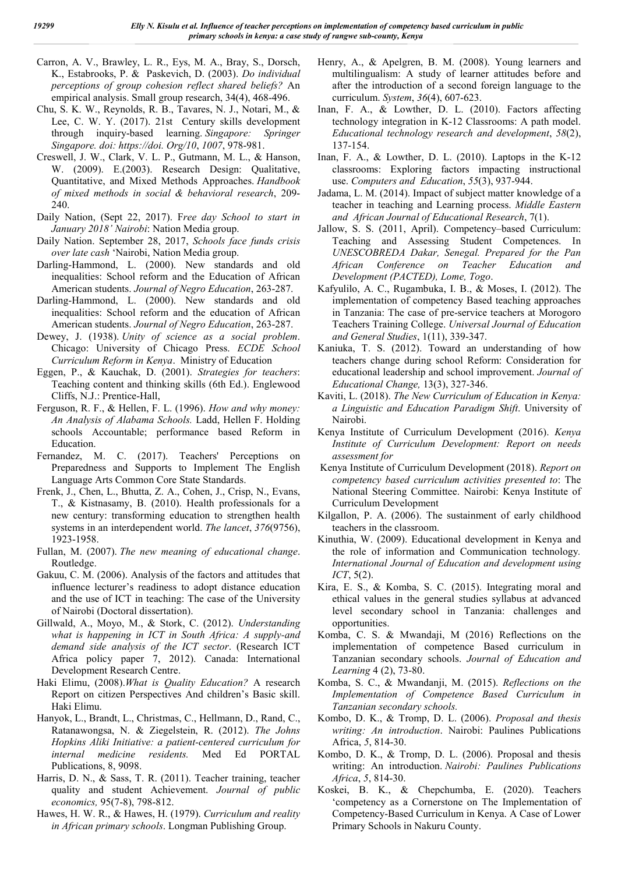- Carron, A. V., Brawley, L. R., Eys, M. A., Bray, S., Dorsch, K., Estabrooks, P. & Paskevich, D. (2003). *Do individual perceptions of group cohesion reflect shared beliefs?* An empirical analysis. Small group research, 34(4), 468-496.
- Chu, S. K. W., Reynolds, R. B., Tavares, N. J., Notari, M., & Lee, C. W. Y. (2017). 21st Century skills development through inquiry-based learning. *Singapore: Springer Singapore. doi: https://doi. Org/10*, *1007*, 978-981.
- Creswell, J. W., Clark, V. L. P., Gutmann, M. L., & Hanson, W. (2009). E.(2003). Research Design: Qualitative, Quantitative, and Mixed Methods Approaches. *Handbook of mixed methods in social & behavioral research*, 209- 240.
- Daily Nation, (Sept 22, 2017). F*ree day School to start in January 2018' Nairobi*: Nation Media group.
- Daily Nation. September 28, 2017, *Schools face funds crisis over late cash* 'Nairobi, Nation Media group.
- Darling-Hammond, L. (2000). New standards and old inequalities: School reform and the Education of African American students. *Journal of Negro Education*, 263-287.
- Darling-Hammond, L. (2000). New standards and old inequalities: School reform and the education of African American students. *Journal of Negro Education*, 263-287.
- Dewey, J. (1938). *Unity of science as a social problem*. Chicago: University of Chicago Press. *ECDE School Curriculum Reform in Kenya*. Ministry of Education
- Eggen, P., & Kauchak, D. (2001). *Strategies for teachers*: Teaching content and thinking skills (6th Ed.). Englewood Cliffs, N.J.: Prentice-Hall,
- Ferguson, R. F., & Hellen, F. L. (1996). *How and why money: An Analysis of Alabama Schools.* Ladd, Hellen F. Holding schools Accountable; performance based Reform in Education.
- Fernandez, M. C. (2017). Teachers' Perceptions on Preparedness and Supports to Implement The English Language Arts Common Core State Standards.
- Frenk, J., Chen, L., Bhutta, Z. A., Cohen, J., Crisp, N., Evans, T., & Kistnasamy, B. (2010). Health professionals for a new century: transforming education to strengthen health systems in an interdependent world. *The lancet*, *376*(9756), 1923-1958.
- Fullan, M. (2007). *The new meaning of educational change*. Routledge.
- Gakuu, C. M. (2006). Analysis of the factors and attitudes that influence lecturer's readiness to adopt distance education and the use of ICT in teaching: The case of the University of Nairobi (Doctoral dissertation).
- Gillwald, A., Moyo, M., & Stork, C. (2012). *Understanding what is happening in ICT in South Africa: A supply-and demand side analysis of the ICT sector*. (Research ICT Africa policy paper 7, 2012). Canada: International Development Research Centre.
- Haki Elimu, (2008).*What is Quality Education?* A research Report on citizen Perspectives And children's Basic skill. Haki Elimu.
- Hanyok, L., Brandt, L., Christmas, C., Hellmann, D., Rand, C., Ratanawongsa, N. & Ziegelstein, R. (2012). *The Johns Hopkins Aliki Initiative: a patient-centered curriculum for internal medicine residents.* Med Ed PORTAL Publications, 8, 9098.
- Harris, D. N., & Sass, T. R. (2011). Teacher training, teacher quality and student Achievement. *Journal of public economics,* 95(7-8), 798-812.
- Hawes, H. W. R., & Hawes, H. (1979). *Curriculum and reality in African primary schools*. Longman Publishing Group.
- Henry, A., & Apelgren, B. M. (2008). Young learners and multilingualism: A study of learner attitudes before and after the introduction of a second foreign language to the curriculum. *System*, *36*(4), 607-623.
- Inan, F. A., & Lowther, D. L. (2010). Factors affecting technology integration in K-12 Classrooms: A path model. *Educational technology research and development*, *58*(2), 137-154.
- Inan, F. A., & Lowther, D. L.  $(2010)$ . Laptops in the K-12 classrooms: Exploring factors impacting instructional use. *Computers and Education*, *55*(3), 937-944.
- Jadama, L. M. (2014). Impact of subject matter knowledge of a teacher in teaching and Learning process. *Middle Eastern and African Journal of Educational Research*, 7(1).
- Jallow, S. S. (2011, April). Competency–based Curriculum: Teaching and Assessing Student Competences. In *UNESCOBREDA Dakar, Senegal. Prepared for the Pan African Conference on Teacher Education and Development (PACTED), Lome, Togo*.
- Kafyulilo, A. C., Rugambuka, I. B., & Moses, I. (2012). The implementation of competency Based teaching approaches in Tanzania: The case of pre-service teachers at Morogoro Teachers Training College. *Universal Journal of Education and General Studies*, 1(11), 339-347.
- Kaniuka, T. S. (2012). Toward an understanding of how teachers change during school Reform: Consideration for educational leadership and school improvement. *Journal of Educational Change,* 13(3), 327-346.
- Kaviti, L. (2018). *The New Curriculum of Education in Kenya: a Linguistic and Education Paradigm Shift*. University of Nairobi.
- Kenya Institute of Curriculum Development (2016). *Kenya Institute of Curriculum Development: Report on needs assessment for*
- Kenya Institute of Curriculum Development (2018). *Report on competency based curriculum activities presented to*: The National Steering Committee. Nairobi: Kenya Institute of Curriculum Development
- Kilgallon, P. A. (2006). The sustainment of early childhood teachers in the classroom.
- Kinuthia, W. (2009). Educational development in Kenya and the role of information and Communication technology*. International Journal of Education and development using ICT*, 5(2).
- Kira, E. S., & Komba, S. C. (2015). Integrating moral and ethical values in the general studies syllabus at advanced level secondary school in Tanzania: challenges and opportunities.
- Komba, C. S. & Mwandaji, M (2016) Reflections on the implementation of competence Based curriculum in Tanzanian secondary schools. *Journal of Education and Learning* 4 (2), 73-80.
- Komba, S. C., & Mwandanji, M. (2015). *Reflections on the Implementation of Competence Based Curriculum in Tanzanian secondary schools.*
- Kombo, D. K., & Tromp, D. L. (2006). *Proposal and thesis writing: An introduction*. Nairobi: Paulines Publications Africa, *5*, 814-30.
- Kombo, D. K., & Tromp, D. L. (2006). Proposal and thesis writing: An introduction. *Nairobi: Paulines Publications Africa*, *5*, 814-30.
- Koskei, B. K., & Chepchumba, E. (2020). Teachers 'competency as a Cornerstone on The Implementation of Competency-Based Curriculum in Kenya. A Case of Lower Primary Schools in Nakuru County.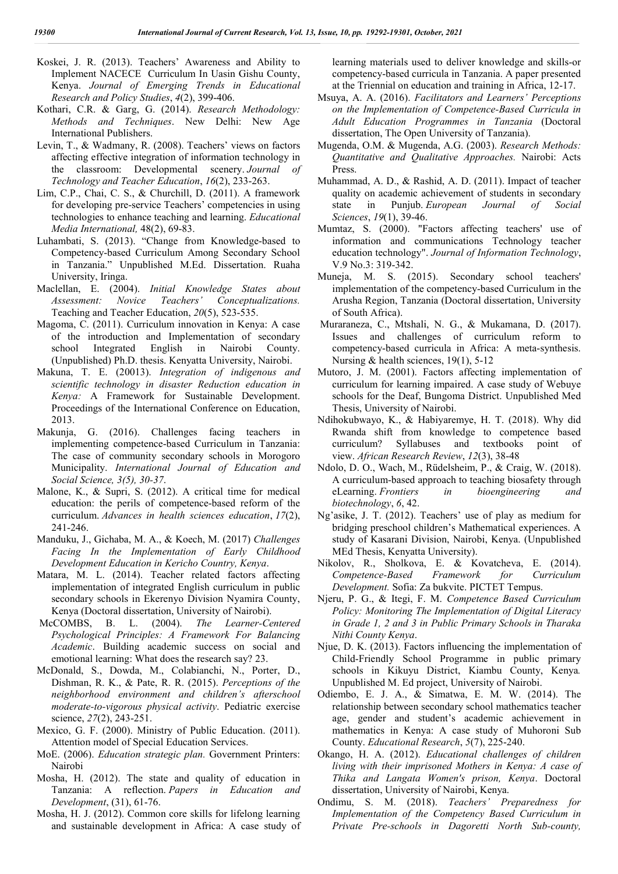- Koskei, J. R. (2013). Teachers' Awareness and Ability to Implement NACECE Curriculum In Uasin Gishu County, Kenya. *Journal of Emerging Trends in Educational Research and Policy Studies*, *4*(2), 399-406.
- Kothari, C.R. & Garg, G. (2014). *Research Methodology: Methods and Techniques*. New Delhi: New Age International Publishers.
- Levin, T., & Wadmany, R. (2008). Teachers' views on factors affecting effective integration of information technology in the classroom: Developmental scenery. *Journal of Technology and Teacher Education*, *16*(2), 233-263.
- Lim, C.P., Chai, C. S., & Churchill, D. (2011). A framework for developing pre-service Teachers' competencies in using technologies to enhance teaching and learning. *Educational Media International,* 48(2), 69-83.
- Luhambati, S. (2013). "Change from Knowledge-based to Competency-based Curriculum Among Secondary School in Tanzania." Unpublished M.Ed. Dissertation. Ruaha University, Iringa.
- Maclellan, E. (2004). *Initial Knowledge States about Assessment: Novice Teachers' Conceptualizations.* Teaching and Teacher Education, *20*(5), 523-535.
- Magoma, C. (2011). Curriculum innovation in Kenya: A case of the introduction and Implementation of secondary school Integrated English in Nairobi County. (Unpublished) Ph.D. thesis. Kenyatta University, Nairobi.
- Makuna, T. E. (20013). *Integration of indigenous and scientific technology in disaster Reduction education in Kenya:* A Framework for Sustainable Development. Proceedings of the International Conference on Education, 2013.
- Makunja, G. (2016). Challenges facing teachers in implementing competence-based Curriculum in Tanzania: The case of community secondary schools in Morogoro Municipality. *International Journal of Education and Social Science, 3(5), 30-37*.
- Malone, K., & Supri, S. (2012). A critical time for medical education: the perils of competence-based reform of the curriculum. *Advances in health sciences education*, *17*(2), 241-246.
- Manduku, J., Gichaba, M. A., & Koech, M. (2017) *Challenges Facing In the Implementation of Early Childhood Development Education in Kericho Country, Kenya*.
- Matara, M. L. (2014). Teacher related factors affecting implementation of integrated English curriculum in public secondary schools in Ekerenyo Division Nyamira County, Kenya (Doctoral dissertation, University of Nairobi).
- McCOMBS, B. L. (2004). *The Learner-Centered Psychological Principles: A Framework For Balancing Academic*. Building academic success on social and emotional learning: What does the research say? 23.
- McDonald, S., Dowda, M., Colabianchi, N., Porter, D., Dishman, R. K., & Pate, R. R. (2015). *Perceptions of the neighborhood environment and children's afterschool moderate-to-vigorous physical activity*. Pediatric exercise science, *27*(2), 243-251.
- Mexico, G. F. (2000). Ministry of Public Education. (2011). Attention model of Special Education Services.
- MoE. (2006). *Education strategic plan.* Government Printers: Nairobi
- Mosha, H. (2012). The state and quality of education in Tanzania: A reflection. *Papers in Education and Development*, (31), 61-76.
- Mosha, H. J. (2012). Common core skills for lifelong learning and sustainable development in Africa: A case study of

learning materials used to deliver knowledge and skills-or competency-based curricula in Tanzania. A paper presented at the Triennial on education and training in Africa, 12-17.

- Msuya, A. A. (2016). *Facilitators and Learners' Perceptions on the Implementation of Competence-Based Curricula in Adult Education Programmes in Tanzania* (Doctoral dissertation, The Open University of Tanzania).
- Mugenda, O.M. & Mugenda, A.G. (2003). *Research Methods: Quantitative and Qualitative Approaches.* Nairobi: Acts Press.
- Muhammad, A. D., & Rashid, A. D. (2011). Impact of teacher quality on academic achievement of students in secondary state in Punjub. *European Journal of Social Sciences*, *19*(1), 39-46.
- Mumtaz, S. (2000). "Factors affecting teachers' use of information and communications Technology teacher education technology". *Journal of Information Technology*, V.9 No.3: 319-342.
- Muneja, M. S. (2015). Secondary school teachers' implementation of the competency-based Curriculum in the Arusha Region, Tanzania (Doctoral dissertation, University of South Africa).
- Muraraneza, C., Mtshali, N. G., & Mukamana, D. (2017). Issues and challenges of curriculum reform to competency‐based curricula in Africa: A meta‐synthesis. Nursing & health sciences, 19(1), 5-12
- Mutoro, J. M. (2001). Factors affecting implementation of curriculum for learning impaired. A case study of Webuye schools for the Deaf, Bungoma District. Unpublished Med Thesis, University of Nairobi.
- Ndihokubwayo, K., & Habiyaremye, H. T. (2018). Why did Rwanda shift from knowledge to competence based curriculum? Syllabuses and textbooks point of view. *African Research Review*, *12*(3), 38-48
- Ndolo, D. O., Wach, M., Rüdelsheim, P., & Craig, W. (2018). A curriculum-based approach to teaching biosafety through eLearning. *Frontiers in bioengineering and biotechnology*, *6*, 42.
- Ng'asike, J. T. (2012). Teachers' use of play as medium for bridging preschool children's Mathematical experiences. A study of Kasarani Division, Nairobi, Kenya. (Unpublished MEd Thesis, Kenyatta University).
- Nikolov, R., Sholkova, E. & Kovatcheva, E. (2014). *Competence-Based Framework for Curriculum Development.* Sofia: Za bukvite. PICTET Tempus.
- Njeru, P. G., & Itegi, F. M. *Competence Based Curriculum Policy: Monitoring The Implementation of Digital Literacy in Grade 1, 2 and 3 in Public Primary Schools in Tharaka Nithi County Kenya*.
- Njue, D. K. (2013). Factors influencing the implementation of Child-Friendly School Programme in public primary schools in Kikuyu District, Kiambu County, Kenya*.* Unpublished M. Ed project, University of Nairobi.
- Odiembo, E. J. A., & Simatwa, E. M. W. (2014). The relationship between secondary school mathematics teacher age, gender and student's academic achievement in mathematics in Kenya: A case study of Muhoroni Sub County. *Educational Research*, *5*(7), 225-240.
- Okango, H. A. (2012). *Educational challenges of children living with their imprisoned Mothers in Kenya: A case of Thika and Langata Women's prison, Kenya*. Doctoral dissertation, University of Nairobi, Kenya.
- Ondimu, S. M. (2018). *Teachers' Preparedness for Implementation of the Competency Based Curriculum in Private Pre-schools in Dagoretti North Sub-county,*